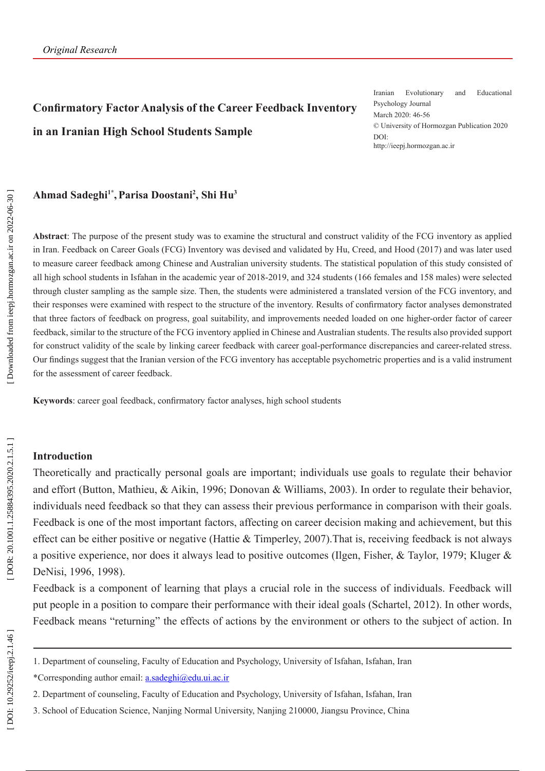# **Confirmatory Factor Analysis of the Career Feedback Inventory in an Iranian High School Students Sample**

Iranian Evolutionary and Educational Psychology Journal March 2020: 46-56 © University of Hormozgan Publication 2020 DOI: http://ieepj.hormozgan.ac.ir

#### **Ahmad Sadeghi1\* ,Parisa Doostani 2 , Shi Hu 3**

**Abstract**: The purpose of the present study was to examine the structural and construct validity of the FCG inventory as applied in Iran. Feedback on Career Goals (FCG) Inventory was devised and validated by Hu, Creed, and Hood (2017) and was later used to measure career feedback among Chinese and Australian university students. The statistical population of this study consisted of all high school students in Isfahan in the academic year of 2018-2019, and 324 students (166 females and 158 males) were selected through cluster sampling as the sample size. Then, the students were administered a translated version of the FCG inventory, and their responses were examined with respect to the structure of the inventory. Results of confirmatory factor analyses demonstrated that three factors of feedback on progress, goal suitability, and improvements needed loaded on one higher-order factor of career feedback, similar to the structure of the FCG inventory applied in Chinese and Australian students. The results also provided support for construct validity of the scale by linking career feedback with career goal-performance discrepancies and career-related stress. Our findings suggest that the Iranian version of the FCG inventory has acceptable psychometric properties and is a valid instrument for the assessment of career feedback.

**Keywords**: career goal feedback, confirmatory factor analyses, high school students

#### **Introduction**

Theoretically and practically personal goals are important; individuals use goals to regulate their behavior and effort (Button, Mathieu, & Aikin, 1996; Donovan & Williams, 2003). In order to regulate their behavior, individuals need feedback so that they can assess their previous performance in comparison with their goals. Feedback is one of the most important factors, affecting on career decision making and achievement, but this effect can be either positive or negative (Hattie & Timperley, 2007).That is, receiving feedback is not always a positive experience, nor does it always lead to positive outcomes (Ilgen, Fisher, & Taylor, 1979; Kluger & DeNisi, 1996, 1998).

Feedback is a component of learning that plays a crucial role in the success of individuals. Feedback will put people in a position to compare their performance with their ideal goals (Schartel, 2012). In other words, Feedback means "returning" the effects of actions by the environment or others to the subject of action. In

<sup>1.</sup> Department of counseling, Faculty of Education and Psychology, University of Isfahan, Isfahan, Iran

<sup>\*</sup>Corresponding author email: [a.sadeghi@edu.ui.ac.ir](mailto:a.sadeghi@edu.ui.ac.ir)

<sup>2.</sup> Department of counseling, Faculty of Education and Psychology, University of Isfahan, Isfahan, Iran

<sup>3.</sup> School of Education Science, Nanjing Normal University, Nanjing 210000, Jiangsu Province, China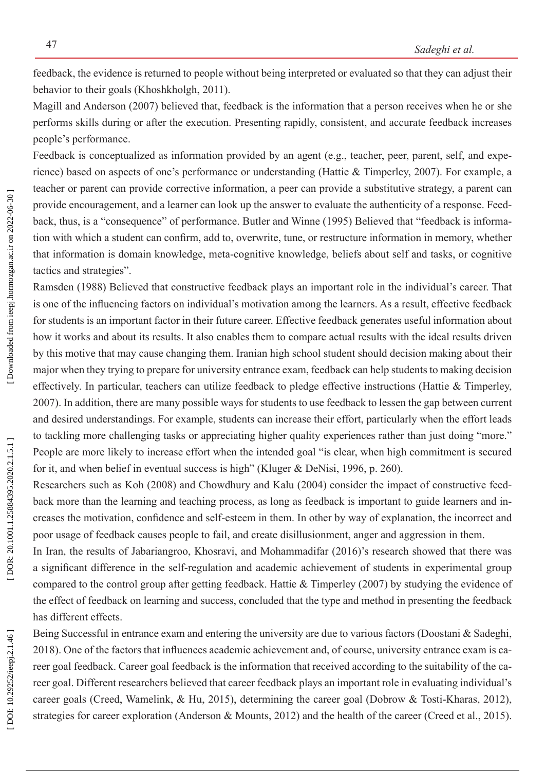feedback, the evidence is returned to people without being interpreted or evaluated so that they can adjust their behavior to their goals (Khoshkholgh, 2011).

Magill and Anderson (2007) believed that, feedback is the information that a person receives when he or she performs skills during or after the execution. Presenting rapidly, consistent, and accurate feedback increases people's performance.

Feedback is conceptualized as information provided by an agent (e.g., teacher, peer, parent, self, and expe rience) based on aspects of one's performance or understanding (Hattie & Timperley, 2007). For example, a teacher or parent can provide corrective information, a peer can provide a substitutive strategy, a parent can provide encouragement, and a learner can look up the answer to evaluate the authenticity of a response. Feed back, thus, is a "consequence" of performance. Butler and Winne (1995) Believed that "feedback is informa tion with which a student can confirm, add to, overwrite, tune, or restructure information in memory, whether that information is domain knowledge, meta-cognitive knowledge, beliefs about self and tasks, or cognitive tactics and strategies".

Ramsden (1988) Believed that constructive feedback plays an important role in the individual's career. That is one of the influencing factors on individual's motivation among the learners. As a result, effective feedback for students is an important factor in their future career. Effective feedback generates useful information about how it works and about its results. It also enables them to compare actual results with the ideal results driven by this motive that may cause changing them. Iranian high school student should decision making about their major when they trying to prepare for university entrance exam, feedback can help students to making decision effectively. In particular, teachers can utilize feedback to pledge effective instructions (Hattie & Timperley, 2007). In addition, there are many possible ways for students to use feedback to lessen the gap between current and desired understandings. For example, students can increase their effort, particularly when the effort leads to tackling more challenging tasks or appreciating higher quality experiences rather than just doing "more." People are more likely to increase effort when the intended goal "is clear, when high commitment is secured for it, and when belief in eventual success is high" (Kluger & DeNisi, 1996, p. 260).

Researchers such as Koh (2008) and Chowdhury and Kalu (2004) consider the impact of constructive feed back more than the learning and teaching process, as long as feedback is important to guide learners and in creases the motivation, confidence and self-esteem in them. In other by way of explanation, the incorrect and poor usage of feedback causes people to fail, and create disillusionment, anger and aggression in them.

In Iran, the results of Jabariangroo, Khosravi, and Mohammadifar (2016)'s research showed that there was a significant difference in the self-regulation and academic achievement of students in experimental group compared to the control group after getting feedback. Hattie & Timperley (2007) by studying the evidence of the effect of feedback on learning and success, concluded that the type and method in presenting the feedback has different effects.

Being Successful in entrance exam and entering the university are due to various factors (Doostani & Sadeghi, 2018). One of the factors that influences academic achievement and, of course, university entrance exam is ca reer goal feedback. Career goal feedback is the information that received according to the suitability of the ca reer goal. Different researchers believed that career feedback plays an important role in evaluating individual's career goals (Creed, Wamelink, & Hu, 2015), determining the career goal (Dobrow & Tosti-Kharas, 2012), strategies for career exploration (Anderson & Mounts, 2012) and the health of the career (Creed et al., 2015).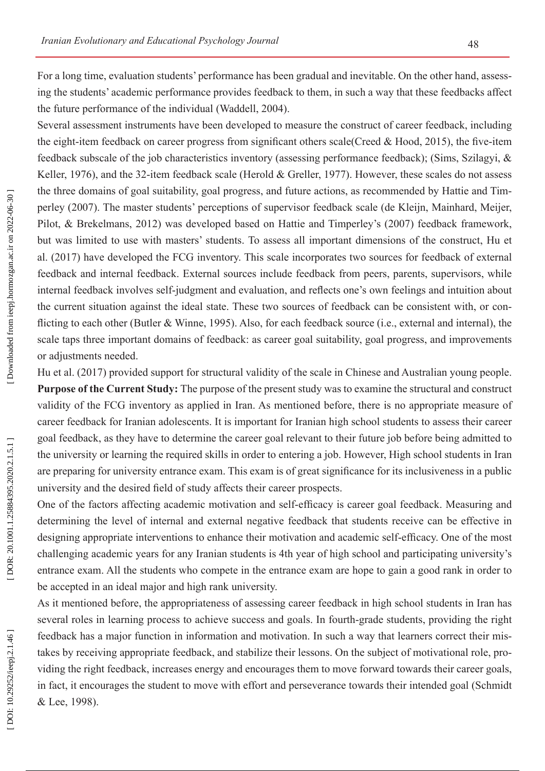For a long time, evaluation students' performance has been gradual and inevitable. On the other hand, assess ing the students' academic performance provides feedback to them, in such a way that these feedbacks affect the future performance of the individual (Waddell, 2004).

Several assessment instruments have been developed to measure the construct of career feedback, including the eight-item feedback on career progress from significant others scale(Creed & Hood, 2015), the five-item feedback subscale of the job characteristics inventory (assessing performance feedback); (Sims, Szilagyi, & Keller, 1976), and the 32-item feedback scale (Herold & Greller, 1977). However, these scales do not assess the three domains of goal suitability, goal progress, and future actions, as recommended by Hattie and Tim perley (2007). The master students' perceptions of supervisor feedback scale (de Kleijn, Mainhard, Meijer, Pilot, & Brekelmans, 2012) was developed based on Hattie and Timperley's (2007) feedback framework, but was limited to use with masters' students. To assess all important dimensions of the construct, Hu et al. (2017) have developed the FCG inventory. This scale incorporates two sources for feedback of external feedback and internal feedback. External sources include feedback from peers, parents, supervisors, while internal feedback involves self-judgment and evaluation, and reflects one's own feelings and intuition about the current situation against the ideal state. These two sources of feedback can be consistent with, or con flicting to each other (Butler & Winne, 1995). Also, for each feedback source (i.e., external and internal), the scale taps three important domains of feedback: as career goal suitability, goal progress, and improvements or adjustments needed.

Hu et al. (2017) provided support for structural validity of the scale in Chinese and Australian young people. **Purpose of the Current Study:** The purpose of the present study was to examine the structural and construct validity of the FCG inventory as applied in Iran. As mentioned before, there is no appropriate measure of career feedback for Iranian adolescents. It is important for Iranian high school students to assess their career goal feedback, as they have to determine the career goal relevant to their future job before being admitted to the university or learning the required skills in order to entering a job. However, High school students in Iran are preparing for university entrance exam. This exam is of great significance for its inclusiveness in a public university and the desired field of study affects their career prospects.

One of the factors affecting academic motivation and self-efficacy is career goal feedback. Measuring and determining the level of internal and external negative feedback that students receive can be effective in designing appropriate interventions to enhance their motivation and academic self-efficacy. One of the most challenging academic years for any Iranian students is 4th year of high school and participating university's entrance exam. All the students who compete in the entrance exam are hope to gain a good rank in order to be accepted in an ideal major and high rank university.

As it mentioned before, the appropriateness of assessing career feedback in high school students in Iran has several roles in learning process to achieve success and goals. In fourth-grade students, providing the right feedback has a major function in information and motivation. In such a way that learners correct their mis takes by receiving appropriate feedback, and stabilize their lessons. On the subject of motivational role, pro viding the right feedback, increases energy and encourages them to move forward towards their career goals, in fact, it encourages the student to move with effort and perseverance towards their intended goal (Schmidt & Lee, 1998).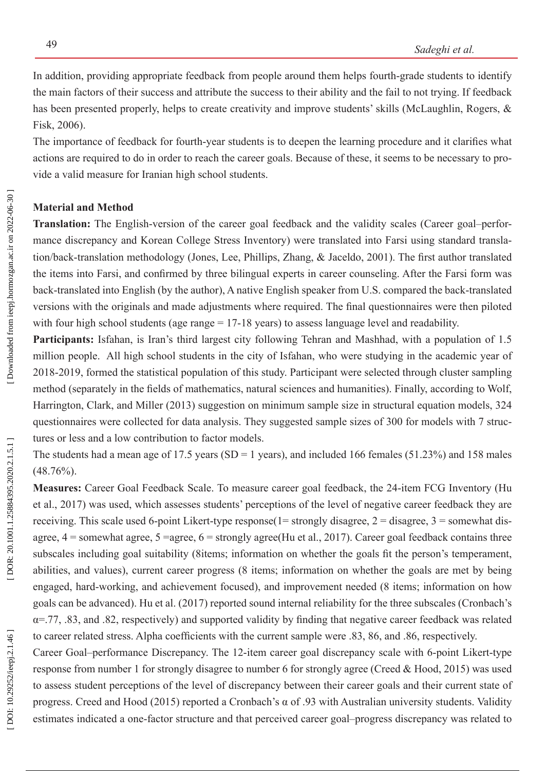In addition, providing appropriate feedback from people around them helps fourth-grade students to identify the main factors of their success and attribute the success to their ability and the fail to not trying. If feedback has been presented properly, helps to create creativity and improve students' skills (McLaughlin, Rogers, & Fisk, 2006).

The importance of feedback for fourth-year students is to deepen the learning procedure and it clarifies what actions are required to do in order to reach the career goals. Because of these, it seems to be necessary to pro vide a valid measure for Iranian high school students.

## **Material and Method**

**Translation:** The English-version of the career goal feedback and the validity scales (Career goal–perfor mance discrepancy and Korean College Stress Inventory) were translated into Farsi using standard transla tion/back-translation methodology (Jones, Lee, Phillips, Zhang, & Jaceldo, 2001). The first author translated the items into Farsi, and confirmed by three bilingual experts in career counseling. After the Farsi form was back-translated into English (by the author), A native English speaker from U.S. compared the back-translated versions with the originals and made adjustments where required. The final questionnaires were then piloted with four high school students (age range = 17-18 years) to assess language level and readability.

**Participants:** Isfahan, is Iran's third largest city following Tehran and Mashhad, with a population of 1.5 million people. All high school students in the city of Isfahan, who were studying in the academic year of 2018-2019, formed the statistical population of this study. Participant were selected through cluster sampling method (separately in the fields of mathematics, natural sciences and humanities). Finally, according to Wolf, Harrington, Clark, and Miller (2013) suggestion on minimum sample size in structural equation models, 324 questionnaires were collected for data analysis. They suggested sample sizes of 300 for models with 7 struc tures or less and a low contribution to factor models.

The students had a mean age of 17.5 years (SD = 1 years), and included 166 females (51.23%) and 158 males (48.76%).

**Measures:** Career Goal Feedback Scale. To measure career goal feedback, the 24-item FCG Inventory (Hu et al., 2017) was used, which assesses students' perceptions of the level of negative career feedback they are receiving. This scale used 6-point Likert-type response(1= strongly disagree, 2 = disagree, 3 = somewhat disagree,  $4 =$ somewhat agree,  $5 =$ agree,  $6 =$ strongly agree(Hu et al., 2017). Career goal feedback contains three subscales including goal suitability (8items; information on whether the goals fit the person's temperament, abilities, and values), current career progress (8 items; information on whether the goals are met by being engaged, hard-working, and achievement focused), and improvement needed (8 items; information on how goals can be advanced). Hu et al. (2017) reported sound internal reliability for the three subscales (Cronbach's  $\alpha$ =.77, .83, and .82, respectively) and supported validity by finding that negative career feedback was related to career related stress. Alpha coefficients with the current sample were .83, 86, and .86, respectively.

Career Goal–performance Discrepancy. The 12-item career goal discrepancy scale with 6-point Likert-type response from number 1 for strongly disagree to number 6 for strongly agree (Creed & Hood, 2015) was used to assess student perceptions of the level of discrepancy between their career goals and their current state of progress. [Creed and Hood \(2015\)](_ENREF_6) reported a Cronbach's α of .93 with Australian university students. Validity estimates indicated a one-factor structure and that perceived career goal–progress discrepancy was related to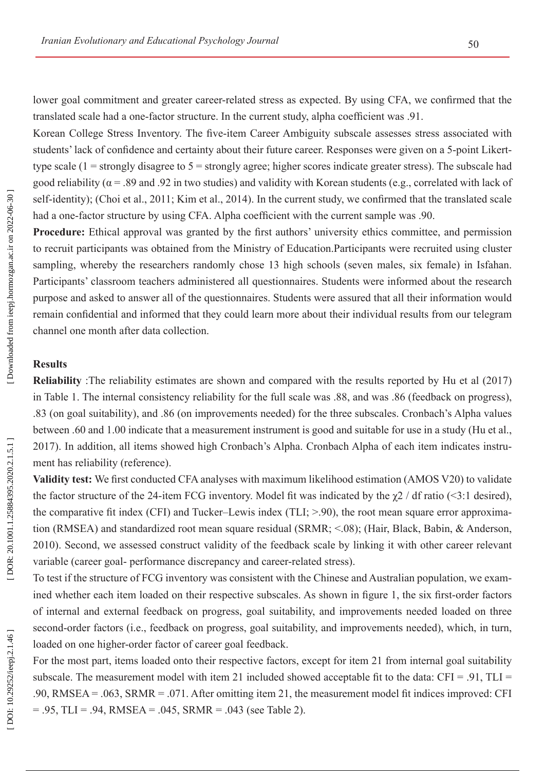lower goal commitment and greater career-related stress as expected. By using CFA, we confirmed that the translated scale had a one-factor structure. In the current study, alpha coefficient was .91.

Korean College Stress Inventory. The five-item Career Ambiguity subscale assesses stress associated with students' lack of confidence and certainty about their future career. Responses were given on a 5-point Likerttype scale  $(1 =$  strongly disagree to  $5 =$  strongly agree; higher scores indicate greater stress). The subscale had good reliability ( $\alpha$  = .89 and .92 in two studies) and validity with Korean students (e.g., correlated with lack of self-identity); (Choi et al., 2011; Kim et al., 2014). In the current study, we confirmed that the translated scale had a one-factor structure by using CFA. Alpha coefficient with the current sample was .90.

**Procedure:** Ethical approval was granted by the first authors' university ethics committee, and permission to recruit participants was obtained from the Ministry of Education.Participants were recruited using cluster sampling, whereby the researchers randomly chose 13 high schools (seven males, six female) in Isfahan. Participants' classroom teachers administered all questionnaires. Students were informed about the research purpose and asked to answer all of the questionnaires. Students were assured that all their information would remain confidential and informed that they could learn more about their individual results from our telegram channel one month after data collection.

#### **Results**

**Reliability** :The reliability estimates are shown and compared with the results reported by Hu et al (2017) in Table 1. The internal consistency reliability for the full scale was .88, and was .86 (feedback on progress), .83 (on goal suitability), and .86 (on improvements needed) for the three subscales. Cronbach's Alpha values between .60 and 1.00 indicate that a measurement instrument is good and suitable for use in a study (Hu et al., 2017). In addition, all items showed high Cronbach's Alpha. Cronbach Alpha of each item indicates instru ment has reliability (reference).

**Validity test:** We first conducted CFA analyses with maximum likelihood estimation (AMOS V20) to validate the factor structure of the 24-item FCG inventory. Model fit was indicated by the  $\gamma$ 2 / df ratio (<3:1 desired), the comparative fit index (CFI) and Tucker–Lewis index (TLI; >.90), the root mean square error approxima tion (RMSEA) and standardized root mean square residual (SRMR; <.08); (Hair, Black, Babin, & Anderson, 2010). Second, we assessed construct validity of the feedback scale by linking it with other career relevant variable (career goal- performance discrepancy and career-related stress).

To test if the structure of FCG inventory was consistent with the Chinese and Australian population, we exam ined whether each item loaded on their respective subscales. As shown in figure 1, the six first-order factors of internal and external feedback on progress, goal suitability, and improvements needed loaded on three second-order factors (i.e., feedback on progress, goal suitability, and improvements needed), which, in turn, loaded on one higher-order factor of career goal feedback.

For the most part, items loaded onto their respective factors, except for item 21 from internal goal suitability subscale. The measurement model with item 21 included showed acceptable fit to the data:  $CFI = .91$ ,  $TLI =$ .90, RMSEA = .063, SRMR = .071. After omitting item 21, the measurement model fit indices improved: CFI  $= .95$ , TLI = .94, RMSEA = .045, SRMR = .043 (see Table 2).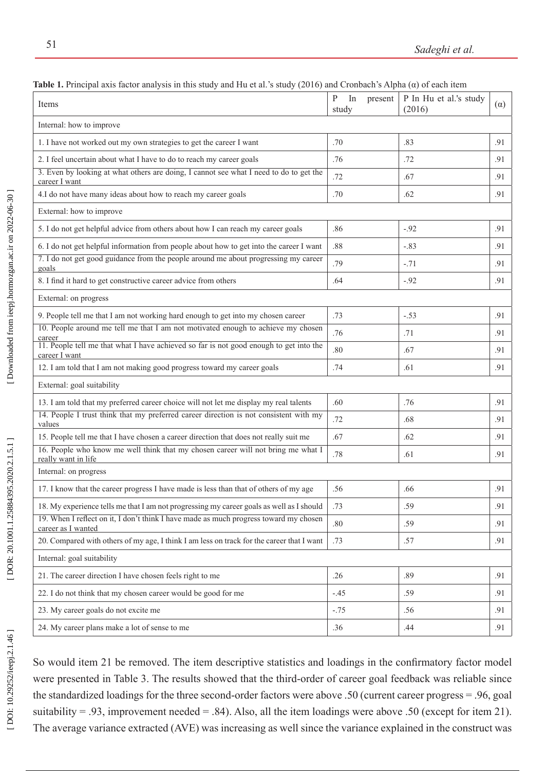| Table 1. Frinçipal axis façıvı analysis in uns study anu flu et al. S study (2010) anu Cronoach S'Alpha (u) of each nehi<br>Items | P<br>In<br>present<br>study | P In Hu et al.'s study<br>(2016) | $(\alpha)$ |
|-----------------------------------------------------------------------------------------------------------------------------------|-----------------------------|----------------------------------|------------|
| Internal: how to improve                                                                                                          |                             |                                  |            |
| 1. I have not worked out my own strategies to get the career I want                                                               | .70                         | .83                              | .91        |
| 2. I feel uncertain about what I have to do to reach my career goals                                                              | .76                         | .72                              | .91        |
| 3. Even by looking at what others are doing, I cannot see what I need to do to get the<br>career I want                           | .72                         | .67                              | .91        |
| 4.I do not have many ideas about how to reach my career goals                                                                     | .70                         | .62                              | .91        |
| External: how to improve                                                                                                          |                             |                                  |            |
| 5. I do not get helpful advice from others about how I can reach my career goals                                                  | .86                         | $-.92$                           | .91        |
| 6. I do not get helpful information from people about how to get into the career I want                                           | .88                         | $-.83$                           | .91        |
| 7. I do not get good guidance from the people around me about progressing my career<br>goals                                      | .79                         | $-.71$                           | .91        |
| 8. I find it hard to get constructive career advice from others                                                                   | .64                         | $-.92$                           | .91        |
| External: on progress                                                                                                             |                             |                                  |            |
| 9. People tell me that I am not working hard enough to get into my chosen career                                                  | .73                         | $-.53$                           | .91        |
| 10. People around me tell me that I am not motivated enough to achieve my chosen<br>career                                        | .76                         | .71                              | .91        |
| 11. People tell me that what I have achieved so far is not good enough to get into the<br>career I want                           | .80                         | .67                              | .91        |
| 12. I am told that I am not making good progress toward my career goals                                                           | .74                         | .61                              | .91        |
| External: goal suitability                                                                                                        |                             |                                  |            |
| 13. I am told that my preferred career choice will not let me display my real talents                                             | .60                         | .76                              | .91        |
| 14. People I trust think that my preferred career direction is not consistent with my<br>values                                   | .72                         | .68                              | .91        |
| 15. People tell me that I have chosen a career direction that does not really suit me                                             | .67                         | .62                              | .91        |
| 16. People who know me well think that my chosen career will not bring me what I<br>really want in life                           | .78                         | .61                              | .91        |
| Internal: on progress                                                                                                             |                             |                                  |            |
| 17. I know that the career progress I have made is less than that of others of my age                                             | .56                         | .66                              | .91        |
| 18. My experience tells me that I am not progressing my career goals as well as I should                                          | .73                         | .59                              | .91        |
| 19. When I reflect on it, I don't think I have made as much progress toward my chosen<br>career as I wanted                       | .80                         | .59                              | .91        |
| 20. Compared with others of my age, I think I am less on track for the career that I want                                         | .73                         | .57                              | .91        |
| Internal: goal suitability                                                                                                        |                             |                                  |            |
| 21. The career direction I have chosen feels right to me                                                                          | .26                         | .89                              | .91        |
| 22. I do not think that my chosen career would be good for me                                                                     | $-.45$                      | .59                              | .91        |
| 23. My career goals do not excite me                                                                                              | $-.75$                      | .56                              | .91        |
| 24. My career plans make a lot of sense to me                                                                                     | .36                         | .44                              | .91        |

**Table 1.** Principal axis factor analysis in this study and Hu et al.'s study (2016) and Cronbach's Alpha (α) of each item

So would item 21 be removed. The item descriptive statistics and loadings in the confirmatory factor model were presented in Table 3. The results showed that the third-order of career goal feedback was reliable since the standardized loadings for the three second-order factors were above .50 (current career progress = .96, goal suitability = .93, improvement needed = .84). Also, all the item loadings were above .50 (except for item 21). The average variance extracted (AVE) was increasing as well since the variance explained in the construct was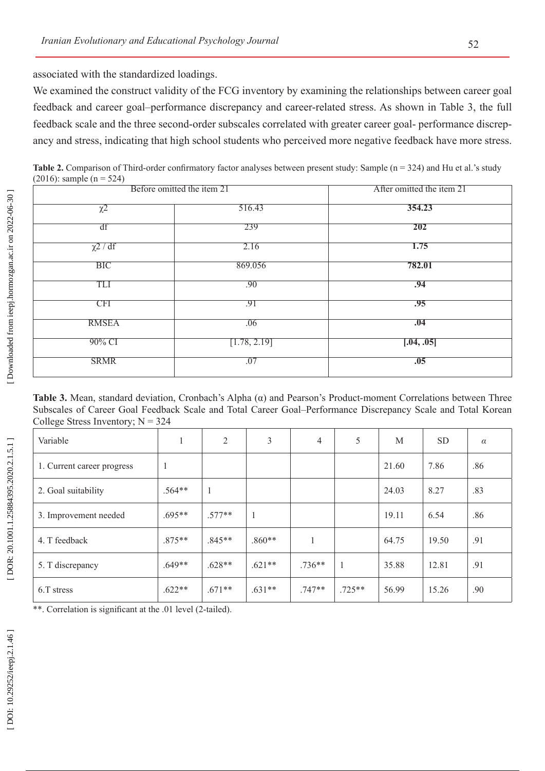associated with the standardized loadings.

We examined the construct validity of the FCG inventory by examining the relationships between career goal feedback and career goal–performance discrepancy and career-related stress. As shown in Table 3, the full feedback scale and the three second-order subscales correlated with greater career goal- performance discrepancy and stress, indicating that high school students who perceived more negative feedback have more stress.

Table 2. Comparison of Third-order confirmatory factor analyses between present study: Sample (n = 324) and Hu et al.'s study (2016): sample ( $n = 524$ )

| Before omitted the item 21 |              | After omitted the item 21 |
|----------------------------|--------------|---------------------------|
| $\overline{\chi^2}$        | 516.43       | 354.23                    |
| df                         | 239          | 202                       |
| $\chi$ <sup>2</sup> / df   | 2.16         | 1.75                      |
| <b>BIC</b>                 | 869.056      | 782.01                    |
| TLI                        | .90          | .94                       |
| <b>CFI</b>                 | .91          | .95                       |
| <b>RMSEA</b>               | .06          | .04                       |
| 90% CI                     | [1.78, 2.19] | [.04, .05]                |
| <b>SRMR</b>                | .07          | .05                       |
|                            |              |                           |

**Table 3.** Mean, standard deviation, Cronbach's Alpha (α) and Pearson's Product-moment Correlations between Three Subscales of Career Goal Feedback Scale and Total Career Goal–Performance Discrepancy Scale and Total Korean College Stress Inventory;  $N = 324$ 

| Variable                   | 1            | 2        | 3        | $\overline{4}$ | 5        | M     | <b>SD</b> | $\alpha$ |
|----------------------------|--------------|----------|----------|----------------|----------|-------|-----------|----------|
| 1. Current career progress | $\mathbf{1}$ |          |          |                |          | 21.60 | 7.86      | .86      |
| 2. Goal suitability        | $.564**$     | 1        |          |                |          | 24.03 | 8.27      | .83      |
| 3. Improvement needed      | $.695**$     | $.577**$ |          |                |          | 19.11 | 6.54      | .86      |
| 4. T feedback              | $.875**$     | $.845**$ | $.860**$ | 1              |          | 64.75 | 19.50     | .91      |
| 5. T discrepancy           | $.649**$     | $.628**$ | $.621**$ | $.736**$       | 1        | 35.88 | 12.81     | .91      |
| 6.T stress                 | $.622**$     | $.671**$ | $.631**$ | $.747**$       | $.725**$ | 56.99 | 15.26     | .90      |

\*\*. Correlation is significant at the .01 level (2-tailed).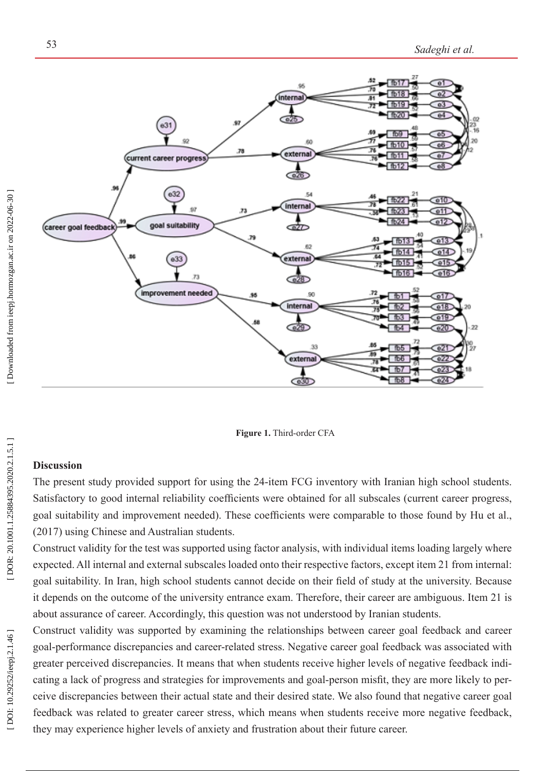

**Figure 1.** Third-order CFA

### **Discussion**

The present study provided support for using the 24-item FCG inventory with Iranian high school students. Satisfactory to good internal reliability coefficients were obtained for all subscales (current career progress, goal suitability and improvement needed). These coefficients were comparable to those found by Hu et al., (2017) using Chinese and Australian students.

Construct validity for the test was supported using factor analysis, with individual items loading largely where expected. All internal and external subscales loaded onto their respective factors, except item 21 from internal: goal suitability. In Iran, high school students cannot decide on their field of study at the university. Because it depends on the outcome of the university entrance exam. Therefore, their career are ambiguous. Item 21 is about assurance of career. Accordingly, this question was not understood by Iranian students.

Construct validity was supported by examining the relationships between career goal feedback and career goal-performance discrepancies and career-related stress. Negative career goal feedback was associated with greater perceived discrepancies. It means that when students receive higher levels of negative feedback indi cating a lack of progress and strategies for improvements and goal-person misfit, they are more likely to per ceive discrepancies between their actual state and their desired state. We also found that negative career goal feedback was related to greater career stress, which means when students receive more negative feedback, they may experience higher levels of anxiety and frustration about their future career.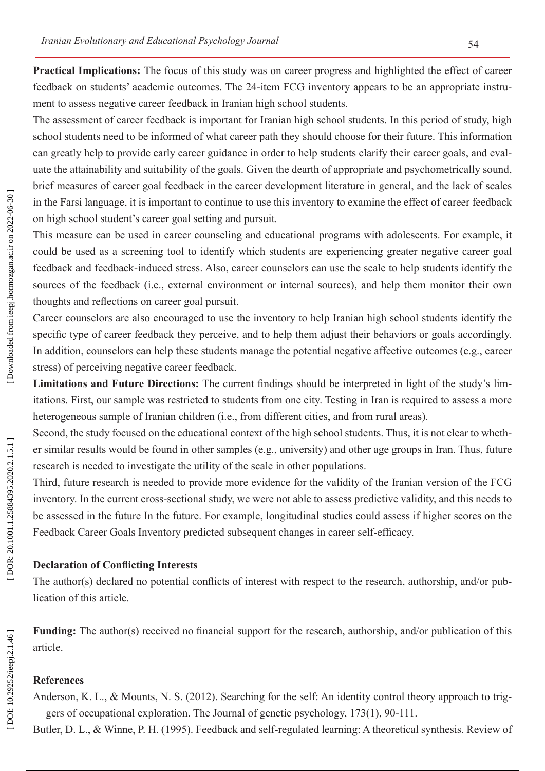**Practical Implications:** The focus of this study was on career progress and highlighted the effect of career feedback on students' academic outcomes. The 24-item FCG inventory appears to be an appropriate instru ment to assess negative career feedback in Iranian high school students.

The assessment of career feedback is important for Iranian high school students. In this period of study, high school students need to be informed of what career path they should choose for their future. This information can greatly help to provide early career guidance in order to help students clarify their career goals, and eval uate the attainability and suitability of the goals. Given the dearth of appropriate and psychometrically sound, brief measures of career goal feedback in the career development literature in general, and the lack of scales in the Farsi language, it is important to continue to use this inventory to examine the effect of career feedback on high school student's career goal setting and pursuit.

This measure can be used in career counseling and educational programs with adolescents. For example, it could be used as a screening tool to identify which students are experiencing greater negative career goal feedback and feedback-induced stress. Also, career counselors can use the scale to help students identify the sources of the feedback (i.e., external environment or internal sources), and help them monitor their own thoughts and reflections on career goal pursuit.

Career counselors are also encouraged to use the inventory to help Iranian high school students identify the specific type of career feedback they perceive, and to help them adjust their behaviors or goals accordingly. In addition, counselors can help these students manage the potential negative affective outcomes (e.g., career stress) of perceiving negative career feedback.

**Limitations and Future Directions:** The current findings should be interpreted in light of the study's lim itations. First, our sample was restricted to students from one city. Testing in Iran is required to assess a more heterogeneous sample of Iranian children (i.e., from different cities, and from rural areas).

Second, the study focused on the educational context of the high school students. Thus, it is not clear to wheth er similar results would be found in other samples (e.g., university) and other age groups in Iran. Thus, future research is needed to investigate the utility of the scale in other populations.

Third, future research is needed to provide more evidence for the validity of the Iranian version of the FCG inventory. In the current cross-sectional study, we were not able to assess predictive validity, and this needs to be assessed in the future In the future. For example, longitudinal studies could assess if higher scores on the Feedback Career Goals Inventory predicted subsequent changes in career self-efficacy .

#### **Declaration of Conflicting Interests**

The author(s) declared no potential conflicts of interest with respect to the research, authorship, and/or pub lication of this article.

**Funding:** The author(s) received no financial support for the research, authorship, and/or publication of this article.

# **References**

Anderson, K. L., & Mounts, N. S. (2012). Searching for the self: An identity control theory approach to triggers of occupational exploration. The Journal of genetic psychology, 173(1), 90-111.

Butler, D. L., & Winne, P. H. (1995). Feedback and self-regulated learning: A theoretical synthesis. Review of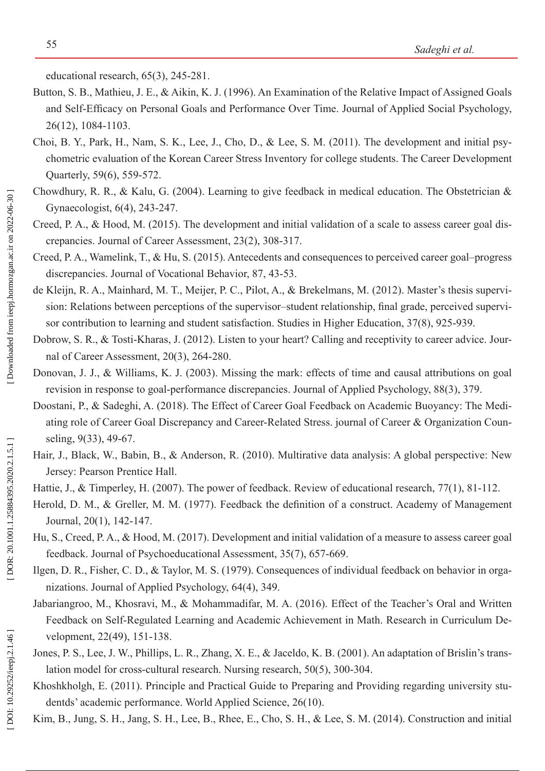educational research, 65(3), 245-281.

- Button, S. B., Mathieu, J. E., & Aikin, K. J. (1996). An Examination of the Relative Impact of Assigned Goals and Self-Efficacy on Personal Goals and Performance Over Time. Journal of Applied Social Psychology, 26(12), 1084-1103.
- Choi, B. Y., Park, H., Nam, S. K., Lee, J., Cho, D., & Lee, S. M. (2011). The development and initial psy chometric evaluation of the Korean Career Stress Inventory for college students. The Career Development Quarterly, 59(6), 559-572.
- Chowdhury, R. R., & Kalu, G. (2004). Learning to give feedback in medical education. The Obstetrician & Gynaecologist, 6(4), 243-247.
- Creed, P. A., & Hood, M. (2015). The development and initial validation of a scale to assess career goal dis crepancies. Journal of Career Assessment, 23(2), 308-317.
- Creed, P. A., Wamelink, T., & Hu, S. (2015). Antecedents and consequences to perceived career goal–progress discrepancies. Journal of Vocational Behavior, 87, 43-53.
- de Kleijn, R. A., Mainhard, M. T., Meijer, P. C., Pilot, A., & Brekelmans, M. (2012). Master's thesis supervi sion: Relations between perceptions of the supervisor–student relationship, final grade, perceived supervi sor contribution to learning and student satisfaction. Studies in Higher Education, 37(8), 925-939.
- Dobrow, S. R., & Tosti-Kharas, J. (2012). Listen to your heart? Calling and receptivity to career advice. Journal of Career Assessment, 20(3), 264-280.
- Donovan, J. J., & Williams, K. J. (2003). Missing the mark: effects of time and causal attributions on goal revision in response to goal-performance discrepancies. Journal of Applied Psychology, 88(3), 379.
- Doostani, P., & Sadeghi, A. (2018). The Effect of Career Goal Feedback on Academic Buoyancy: The Mediating role of Career Goal Discrepancy and Career-Related Stress. journal of Career & Organization Coun seling, 9(33), 49-67.
- Hair, J., Black, W., Babin, B., & Anderson, R. (2010). Multirative data analysis: A global perspective: New Jersey: Pearson Prentice Hall.
- Hattie, J., & Timperley, H. (2007). The power of feedback. Review of educational research, 77(1), 81-112.
- Herold, D. M., & Greller, M. M. (1977). Feedback the definition of a construct. Academy of Management Journal, 20(1), 142-147.
- Hu, S., Creed, P. A., & Hood, M. (2017). Development and initial validation of a measure to assess career goal feedback. Journal of Psychoeducational Assessment, 35(7), 657-669.
- Ilgen, D. R., Fisher, C. D., & Taylor, M. S. (1979). Consequences of individual feedback on behavior in orga nizations. Journal of Applied Psychology, 64(4), 349.
- Jabariangroo, M., Khosravi, M., & Mohammadifar, M. A. (2016). Effect of the Teacher's Oral and Written Feedback on Self-Regulated Learning and Academic Achievement in Math. Research in Curriculum De velopment, 22(49), 151-138.
- Jones, P. S., Lee, J. W., Phillips, L. R., Zhang, X. E., & Jaceldo, K. B. (2001). An adaptation of Brislin's translation model for cross-cultural research. Nursing research, 50(5), 300-304.
- Khoshkholgh, E. (2011). Principle and Practical Guide to Preparing and Providing regarding university stu dentds' academic performance. World Applied Science, 26(10).
- Kim, B., Jung, S. H., Jang, S. H., Lee, B., Rhee, E., Cho, S. H., & Lee, S. M. (2014). Construction and initial